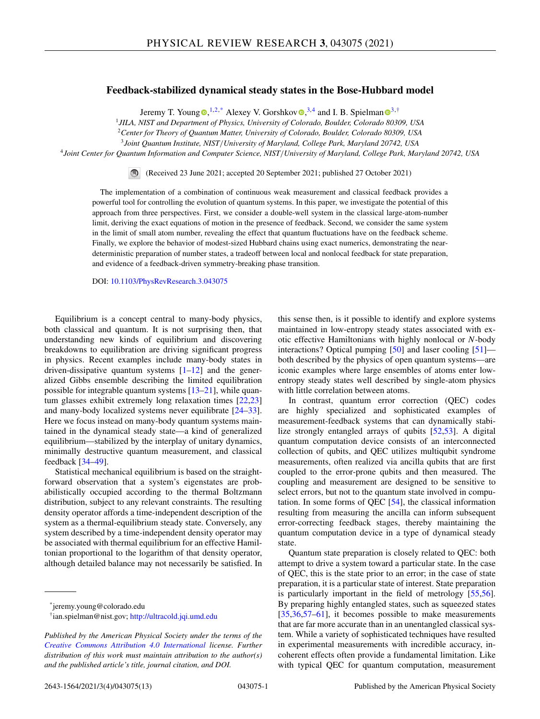# **Feedback-stabilized dynamical steady states in the Bose-Hubbard model**

Jeremy T. Youn[g](https://orcid.org/0000-0003-0971-6067)  $\mathbb{D},^{1,2,*}$  Alexey V. Gorshko[v](https://orcid.org/0000-0003-0509-3421)  $\mathbb{D},^{3,4}$  a[n](https://orcid.org/0000-0003-1421-8652)d I. B. Spielman  $\mathbb{D}^{3,\dagger}$ 

<sup>1</sup>*JILA, NIST and Department of Physics, University of Colorado, Boulder, Colorado 80309, USA*

<sup>2</sup>*Center for Theory of Quantum Matter, University of Colorado, Boulder, Colorado 80309, USA*

<sup>3</sup>*Joint Quantum Institute, NIST*/*University of Maryland, College Park, Maryland 20742, USA*

<sup>4</sup>*Joint Center for Quantum Information and Computer Science, NIST*/*University of Maryland, College Park, Maryland 20742, USA*

(Received 23 June 2021; accepted 20 September 2021; published 27 October 2021)

The implementation of a combination of continuous weak measurement and classical feedback provides a powerful tool for controlling the evolution of quantum systems. In this paper, we investigate the potential of this approach from three perspectives. First, we consider a double-well system in the classical large-atom-number limit, deriving the exact equations of motion in the presence of feedback. Second, we consider the same system in the limit of small atom number, revealing the effect that quantum fluctuations have on the feedback scheme. Finally, we explore the behavior of modest-sized Hubbard chains using exact numerics, demonstrating the neardeterministic preparation of number states, a tradeoff between local and nonlocal feedback for state preparation, and evidence of a feedback-driven symmetry-breaking phase transition.

DOI: [10.1103/PhysRevResearch.3.043075](https://doi.org/10.1103/PhysRevResearch.3.043075)

Equilibrium is a concept central to many-body physics, both classical and quantum. It is not surprising then, that understanding new kinds of equilibrium and discovering breakdowns to equilibration are driving significant progress in physics. Recent examples include many-body states in driven-dissipative quantum systems  $[1-12]$  and the generalized Gibbs ensemble describing the limited equilibration possible for integrable quantum systems [\[13–21\]](#page-9-0), while quantum glasses exhibit extremely long relaxation times [\[22,23\]](#page-9-0) and many-body localized systems never equilibrate [\[24](#page-9-0)[–33\]](#page-10-0). Here we focus instead on many-body quantum systems maintained in the dynamical steady state—a kind of generalized equilibrium—stabilized by the interplay of unitary dynamics, minimally destructive quantum measurement, and classical feedback [\[34–49\]](#page-10-0).

Statistical mechanical equilibrium is based on the straightforward observation that a system's eigenstates are probabilistically occupied according to the thermal Boltzmann distribution, subject to any relevant constraints. The resulting density operator affords a time-independent description of the system as a thermal-equilibrium steady state. Conversely, any system described by a time-independent density operator may be associated with thermal equilibrium for an effective Hamiltonian proportional to the logarithm of that density operator, although detailed balance may not necessarily be satisfied. In

\*jeremy.young@colorado.edu

this sense then, is it possible to identify and explore systems maintained in low-entropy steady states associated with exotic effective Hamiltonians with highly nonlocal or *N*-body interactions? Optical pumping [\[50\]](#page-10-0) and laser cooling [\[51\]](#page-10-0) both described by the physics of open quantum systems—are iconic examples where large ensembles of atoms enter lowentropy steady states well described by single-atom physics with little correlation between atoms.

In contrast, quantum error correction (QEC) codes are highly specialized and sophisticated examples of measurement-feedback systems that can dynamically stabilize strongly entangled arrays of qubits [\[52,53\]](#page-10-0). A digital quantum computation device consists of an interconnected collection of qubits, and QEC utilizes multiqubit syndrome measurements, often realized via ancilla qubits that are first coupled to the error-prone qubits and then measured. The coupling and measurement are designed to be sensitive to select errors, but not to the quantum state involved in computation. In some forms of QEC [\[54\]](#page-10-0), the classical information resulting from measuring the ancilla can inform subsequent error-correcting feedback stages, thereby maintaining the quantum computation device in a type of dynamical steady state.

Quantum state preparation is closely related to QEC: both attempt to drive a system toward a particular state. In the case of QEC, this is the state prior to an error; in the case of state preparation, it is a particular state of interest. State preparation is particularly important in the field of metrology [\[55,56\]](#page-10-0). By preparing highly entangled states, such as squeezed states [\[35,36,57–61\]](#page-10-0), it becomes possible to make measurements that are far more accurate than in an unentangled classical system. While a variety of sophisticated techniques have resulted in experimental measurements with incredible accuracy, incoherent effects often provide a fundamental limitation. Like with typical QEC for quantum computation, measurement

<sup>†</sup>ian.spielman@nist.gov; <http://ultracold.jqi.umd.edu>

*Published by the American Physical Society under the terms of the [Creative Commons Attribution 4.0 International](https://creativecommons.org/licenses/by/4.0/) license. Further distribution of this work must maintain attribution to the author(s) and the published article's title, journal citation, and DOI.*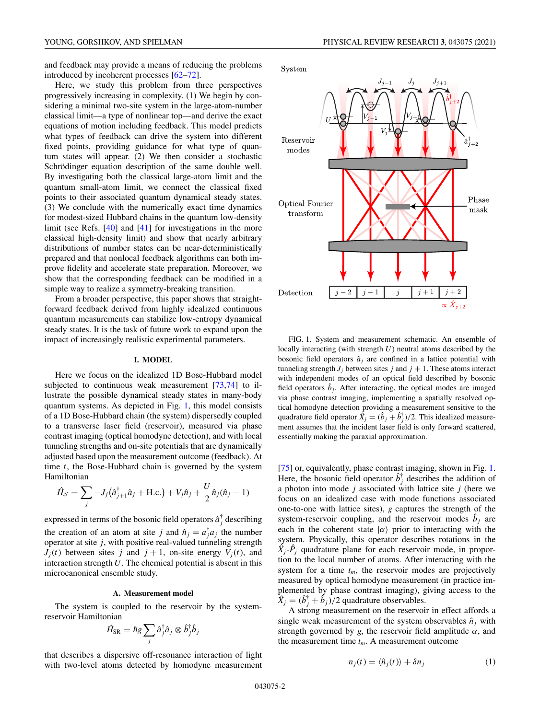and feedback may provide a means of reducing the problems introduced by incoherent processes [\[62](#page-10-0)[–72\]](#page-11-0).

Here, we study this problem from three perspectives progressively increasing in complexity. (1) We begin by considering a minimal two-site system in the large-atom-number classical limit—a type of nonlinear top—and derive the exact equations of motion including feedback. This model predicts what types of feedback can drive the system into different fixed points, providing guidance for what type of quantum states will appear. (2) We then consider a stochastic Schrödinger equation description of the same double well. By investigating both the classical large-atom limit and the quantum small-atom limit, we connect the classical fixed points to their associated quantum dynamical steady states. (3) We conclude with the numerically exact time dynamics for modest-sized Hubbard chains in the quantum low-density limit (see Refs. [\[40\]](#page-10-0) and [\[41\]](#page-10-0) for investigations in the more classical high-density limit) and show that nearly arbitrary distributions of number states can be near-deterministically prepared and that nonlocal feedback algorithms can both improve fidelity and accelerate state preparation. Moreover, we show that the corresponding feedback can be modified in a simple way to realize a symmetry-breaking transition.

From a broader perspective, this paper shows that straightforward feedback derived from highly idealized continuous quantum measurements can stabilize low-entropy dynamical steady states. It is the task of future work to expand upon the impact of increasingly realistic experimental parameters.

# **I. MODEL**

Here we focus on the idealized 1D Bose-Hubbard model subjected to continuous weak measurement [\[73,74\]](#page-11-0) to illustrate the possible dynamical steady states in many-body quantum systems. As depicted in Fig. 1, this model consists of a 1D Bose-Hubbard chain (the system) dispersedly coupled to a transverse laser field (reservoir), measured via phase contrast imaging (optical homodyne detection), and with local tunneling strengths and on-site potentials that are dynamically adjusted based upon the measurement outcome (feedback). At time *t*, the Bose-Hubbard chain is governed by the system Hamiltonian

$$
\hat{H}_{\mathcal{S}} = \sum_{j} -J_{j}(\hat{a}_{j+1}^{\dagger}\hat{a}_{j} + \text{H.c.}) + V_{j}\hat{n}_{j} + \frac{U}{2}\hat{n}_{j}(\hat{n}_{j} - 1)
$$

expressed in terms of the bosonic field operators  $\hat{a}_j^{\dagger}$  describing the creation of an atom at site *j* and  $\hat{n}_j = a_j^{\dagger} a_j$  the number operator at site *j*, with positive real-valued tunneling strength  $J_i(t)$  between sites *j* and  $j + 1$ , on-site energy  $V_i(t)$ , and interaction strength *U*. The chemical potential is absent in this microcanonical ensemble study.

## **A. Measurement model**

The system is coupled to the reservoir by the systemreservoir Hamiltonian

$$
\hat{H}_{\text{SR}} = \hbar g \sum_j \hat{a}_j^{\dagger} \hat{a}_j \otimes \hat{b}_j^{\dagger} \hat{b}_j
$$

that describes a dispersive off-resonance interaction of light with two-level atoms detected by homodyne measurement



FIG. 1. System and measurement schematic. An ensemble of locally interacting (with strength *U*) neutral atoms described by the bosonic field operators  $\hat{a}_i$  are confined in a lattice potential with tunneling strength  $J_i$  between sites  $j$  and  $j + 1$ . These atoms interact with independent modes of an optical field described by bosonic field operators  $\hat{b}_i$ . After interacting, the optical modes are imaged via phase contrast imaging, implementing a spatially resolved optical homodyne detection providing a measurement sensitive to the quadrature field operator  $\hat{X}_j = (\hat{b}_j + \hat{b}_j^{\dagger})/2$ . This idealized measurement assumes that the incident laser field is only forward scattered, essentially making the paraxial approximation.

[\[75\]](#page-11-0) or, equivalently, phase contrast imaging, shown in Fig. 1. Here, the bosonic field operator  $\hat{b}^{\dagger}_{j}$  describes the addition of a photon into mode *j* associated with lattice site *j* (here we focus on an idealized case with mode functions associated one-to-one with lattice sites), *g* captures the strength of the system-reservoir coupling, and the reservoir modes  $\hat{b}_i$  are each in the coherent state  $|\alpha\rangle$  prior to interacting with the system. Physically, this operator describes rotations in the  $\hat{X}_i$ <sup>- $\hat{P}_i$ </sup> quadrature plane for each reservoir mode, in proportion to the local number of atoms. After interacting with the system for a time  $t_m$ , the reservoir modes are projectively measured by optical homodyne measurement (in practice implemented by phase contrast imaging), giving access to the  $\hat{X}_j = (\hat{b}_j^{\dagger} + \hat{b}_j)/2$  quadrature observables.

A strong measurement on the reservoir in effect affords a single weak measurement of the system observables  $\hat{n}_i$  with strength governed by *g*, the reservoir field amplitude  $\alpha$ , and the measurement time  $t_m$ . A measurement outcome

$$
n_j(t) = \langle \hat{n}_j(t) \rangle + \delta n_j \tag{1}
$$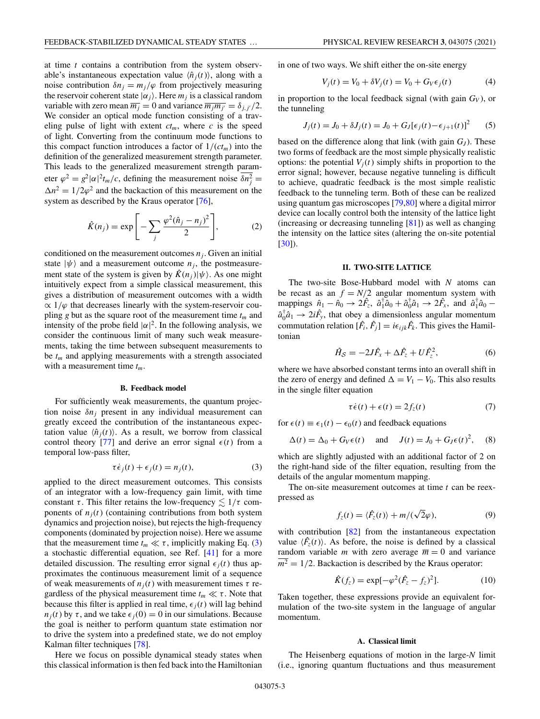<span id="page-2-0"></span>at time *t* contains a contribution from the system observable's instantaneous expectation value  $\langle \hat{n}_i(t) \rangle$ , along with a noise contribution  $\delta n_j = m_j/\varphi$  from projectively measuring the reservoir coherent state  $|\alpha_j\rangle$ . Here  $m_j$  is a classical random variable with zero mean  $\overline{m_j} = 0$  and variance  $\overline{m_j m_{j'}} = \delta_{j,j'}/2$ . We consider an optical mode function consisting of a traveling pulse of light with extent  $ct_m$ , where  $c$  is the speed of light. Converting from the continuum mode functions to this compact function introduces a factor of  $1/(ct_m)$  into the definition of the generalized measurement strength parameter. This leads to the generalized measurement strength parameter  $\varphi^2 = g^2 |\alpha|^2 t_m / c$ , defining the measurement noise  $\delta n_j^2 =$  $\Delta n^2 = 1/2\varphi^2$  and the backaction of this measurement on the system as described by the Kraus operator [\[76\]](#page-11-0),

$$
\hat{K}(n_j) = \exp\left[-\sum_j \frac{\varphi^2(\hat{n}_j - n_j)^2}{2}\right],\tag{2}
$$

conditioned on the measurement outcomes  $n_i$ . Given an initial state  $|\psi\rangle$  and a measurement outcome  $n_j$ , the postmeasurement state of the system is given by  $\hat{K}(n_j)|\psi\rangle$ . As one might intuitively expect from a simple classical measurement, this gives a distribution of measurement outcomes with a width  $\propto 1/\varphi$  that decreases linearly with the system-reservoir coupling *g* but as the square root of the measurement time  $t_m$  and intensity of the probe field  $|\alpha|^2$ . In the following analysis, we consider the continuous limit of many such weak measurements, taking the time between subsequent measurements to be  $t_m$  and applying measurements with a strength associated with a measurement time *tm*.

## **B. Feedback model**

For sufficiently weak measurements, the quantum projection noise  $\delta n_i$  present in any individual measurement can greatly exceed the contribution of the instantaneous expectation value  $\langle \hat{n}_i(t) \rangle$ . As a result, we borrow from classical control theory [\[77\]](#page-11-0) and derive an error signal  $\epsilon(t)$  from a temporal low-pass filter,

$$
\tau \dot{\epsilon}_j(t) + \epsilon_j(t) = n_j(t),\tag{3}
$$

applied to the direct measurement outcomes. This consists of an integrator with a low-frequency gain limit, with time constant  $\tau$ . This filter retains the low-frequency  $\lesssim 1/\tau$  components of  $n<sub>i</sub>(t)$  (containing contributions from both system dynamics and projection noise), but rejects the high-frequency components (dominated by projection noise). Here we assume that the measurement time  $t_m \ll \tau$ , implicitly making Eq. (3) a stochastic differential equation, see Ref. [\[41\]](#page-10-0) for a more detailed discussion. The resulting error signal  $\epsilon_i(t)$  thus approximates the continuous measurement limit of a sequence of weak measurements of  $n_j(t)$  with measurement times  $\tau$  regardless of the physical measurement time  $t_m \ll \tau$ . Note that because this filter is applied in real time,  $\epsilon_i(t)$  will lag behind  $n_j(t)$  by  $\tau$ , and we take  $\epsilon_j(0) = 0$  in our simulations. Because the goal is neither to perform quantum state estimation nor to drive the system into a predefined state, we do not employ Kalman filter techniques [\[78\]](#page-11-0).

Here we focus on possible dynamical steady states when this classical information is then fed back into the Hamiltonian in one of two ways. We shift either the on-site energy

$$
V_j(t) = V_0 + \delta V_j(t) = V_0 + G_V \epsilon_j(t)
$$
 (4)

in proportion to the local feedback signal (with gain  $G_V$ ), or the tunneling

$$
J_j(t) = J_0 + \delta J_j(t) = J_0 + G_J[\epsilon_j(t) - \epsilon_{j+1}(t)]^2
$$
 (5)

based on the difference along that link (with gain  $G_J$ ). These two forms of feedback are the most simple physically realistic options: the potential  $V_i(t)$  simply shifts in proportion to the error signal; however, because negative tunneling is difficult to achieve, quadratic feedback is the most simple realistic feedback to the tunneling term. Both of these can be realized using quantum gas microscopes [\[79,80\]](#page-11-0) where a digital mirror device can locally control both the intensity of the lattice light (increasing or decreasing tunneling [\[81\]](#page-11-0)) as well as changing the intensity on the lattice sites (altering the on-site potential [\[30\]](#page-9-0)).

## **II. TWO-SITE LATTICE**

The two-site Bose-Hubbard model with *N* atoms can be recast as an  $f = N/2$  angular momentum system with mappings  $\hat{n}_1 - \hat{n}_0 \rightarrow 2\hat{F}_z$ ,  $\hat{a}_1^{\dagger} \hat{a}_0 + \hat{a}_0^{\dagger} \hat{a}_1 \rightarrow 2\hat{F}_x$ , and  $\hat{a}_1^{\dagger} \hat{a}_0$  –  $\hat{a}_0^{\dagger} \hat{a}_1 \rightarrow 2i\hat{F}_y$ , that obey a dimensionless angular momentum commutation relation  $[\hat{F}_i, \hat{F}_j] = i\epsilon_{ijk}\hat{F}_k$ . This gives the Hamiltonian

$$
\hat{H}_{\mathcal{S}} = -2J\hat{F}_x + \Delta\hat{F}_z + U\hat{F}_z^2, \tag{6}
$$

where we have absorbed constant terms into an overall shift in the zero of energy and defined  $\Delta = V_1 - V_0$ . This also results in the single filter equation

$$
\tau \dot{\epsilon}(t) + \epsilon(t) = 2f_z(t) \tag{7}
$$

for  $\epsilon(t) \equiv \epsilon_1(t) - \epsilon_0(t)$  and feedback equations

$$
\Delta(t) = \Delta_0 + G_V \epsilon(t) \quad \text{and} \quad J(t) = J_0 + G_J \epsilon(t)^2, \quad (8)
$$

which are slightly adjusted with an additional factor of 2 on the right-hand side of the filter equation, resulting from the details of the angular momentum mapping.

The on-site measurement outcomes at time *t* can be reexpressed as

$$
f_z(t) = \langle \hat{F}_z(t) \rangle + m / (\sqrt{2}\varphi), \tag{9}
$$

with contribution [\[82\]](#page-11-0) from the instantaneous expectation value  $\langle \hat{F}_z(t) \rangle$ . As before, the noise is defined by a classical random variable *m* with zero average  $\overline{m} = 0$  and variance  $\overline{m^2}$  = 1/2. Backaction is described by the Kraus operator:

$$
\hat{K}(f_z) = \exp[-\varphi^2(\hat{F}_z - f_z)^2].
$$
 (10)

Taken together, these expressions provide an equivalent formulation of the two-site system in the language of angular momentum.

### **A. Classical limit**

The Heisenberg equations of motion in the large-*N* limit (i.e., ignoring quantum fluctuations and thus measurement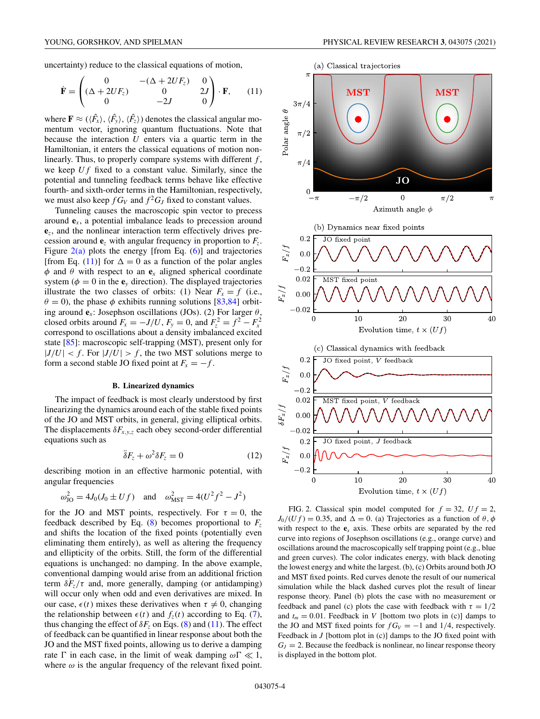<span id="page-3-0"></span>uncertainty) reduce to the classical equations of motion,

$$
\dot{\mathbf{F}} = \begin{pmatrix}\n0 & -(\Delta + 2UF_z) & 0 \\
(\Delta + 2UF_z) & 0 & 2J \\
0 & -2J & 0\n\end{pmatrix} \cdot \mathbf{F},
$$
\n(11)

where  $\mathbf{F} \approx (\langle \hat{F}_x \rangle, \langle \hat{F}_y \rangle, \langle \hat{F}_z \rangle)$  denotes the classical angular momentum vector, ignoring quantum fluctuations. Note that because the interaction *U* enters via a quartic term in the Hamiltonian, it enters the classical equations of motion nonlinearly. Thus, to properly compare systems with different *f* , we keep *U f* fixed to a constant value. Similarly, since the potential and tunneling feedback terms behave like effective fourth- and sixth-order terms in the Hamiltonian, respectively, we must also keep  $f G_V$  and  $f^2 G_J$  fixed to constant values.

Tunneling causes the macroscopic spin vector to precess around **e***x*, a potential imbalance leads to precession around **e***z*, and the nonlinear interaction term effectively drives precession around  $\mathbf{e}_z$  with angular frequency in proportion to  $F_z$ . Figure  $2(a)$  plots the energy [from Eq. [\(6\)](#page-2-0)] and trajectories [from Eq. (11)] for  $\Delta = 0$  as a function of the polar angles  $\phi$  and  $\theta$  with respect to an  $\mathbf{e}_x$  aligned spherical coordinate system ( $\phi = 0$  in the  $\mathbf{e}_y$  direction). The displayed trajectories illustrate the two classes of orbits: (1) Near  $F_x = f$  (i.e.,  $\theta = 0$ ), the phase  $\phi$  exhibits running solutions [\[83,84\]](#page-11-0) orbiting around  $\mathbf{e}_x$ : Josephson oscillations (JOs). (2) For larger  $\theta$ , closed orbits around  $F_x = -J/U$ ,  $F_y = 0$ , and  $F_z^2 = f^2 - F_x^2$ correspond to oscillations about a density imbalanced excited state [\[85\]](#page-11-0): macroscopic self-trapping (MST), present only for  $|J/U| < f$ . For  $|J/U| > f$ , the two MST solutions merge to form a second stable JO fixed point at  $F_x = -f$ .

## **B. Linearized dynamics**

The impact of feedback is most clearly understood by first linearizing the dynamics around each of the stable fixed points of the JO and MST orbits, in general, giving elliptical orbits. The displacements  $\delta F_{x,y,z}$  each obey second-order differential equations such as

$$
\ddot{\delta}F_z + \omega^2 \delta F_z = 0 \tag{12}
$$

describing motion in an effective harmonic potential, with angular frequencies

$$
\omega_{\text{JO}}^2 = 4J_0(J_0 \pm Uf)
$$
 and  $\omega_{\text{MST}}^2 = 4(U^2f^2 - J^2)$ 

for the JO and MST points, respectively. For  $\tau = 0$ , the feedback described by Eq.  $(8)$  becomes proportional to  $F<sub>z</sub>$ and shifts the location of the fixed points (potentially even eliminating them entirely), as well as altering the frequency and ellipticity of the orbits. Still, the form of the differential equations is unchanged: no damping. In the above example, conventional damping would arise from an additional friction term  $\delta F_z/\tau$  and, more generally, damping (or antidamping) will occur only when odd and even derivatives are mixed. In our case,  $\epsilon(t)$  mixes these derivatives when  $\tau \neq 0$ , changing the relationship between  $\epsilon(t)$  and  $f_z(t)$  according to Eq. [\(7\)](#page-2-0), thus changing the effect of  $\delta F_z$  on Eqs. [\(8\)](#page-2-0) and (11). The effect of feedback can be quantified in linear response about both the JO and the MST fixed points, allowing us to derive a damping rate  $\Gamma$  in each case, in the limit of weak damping  $\omega \Gamma \ll 1$ , where  $\omega$  is the angular frequency of the relevant fixed point.



FIG. 2. Classical spin model computed for  $f = 32$ ,  $Uf = 2$ ,  $J_0/(U f) = 0.35$ , and  $\Delta = 0$ . (a) Trajectories as a function of  $\theta$ ,  $\phi$ with respect to the  $\mathbf{e}_x$  axis. These orbits are separated by the red curve into regions of Josephson oscillations (e.g., orange curve) and oscillations around the macroscopically self trapping point (e.g., blue and green curves). The color indicates energy, with black denoting the lowest energy and white the largest. (b), (c) Orbits around both JO and MST fixed points. Red curves denote the result of our numerical simulation while the black dashed curves plot the result of linear response theory. Panel (b) plots the case with no measurement or feedback and panel (c) plots the case with feedback with  $\tau = 1/2$ and  $t_m = 0.01$ . Feedback in *V* [bottom two plots in (c)] damps to the JO and MST fixed points for  $fG_V = -1$  and 1/4, respectively. Feedback in *J* [bottom plot in (c)] damps to the JO fixed point with  $G_J = 2$ . Because the feedback is nonlinear, no linear response theory is displayed in the bottom plot.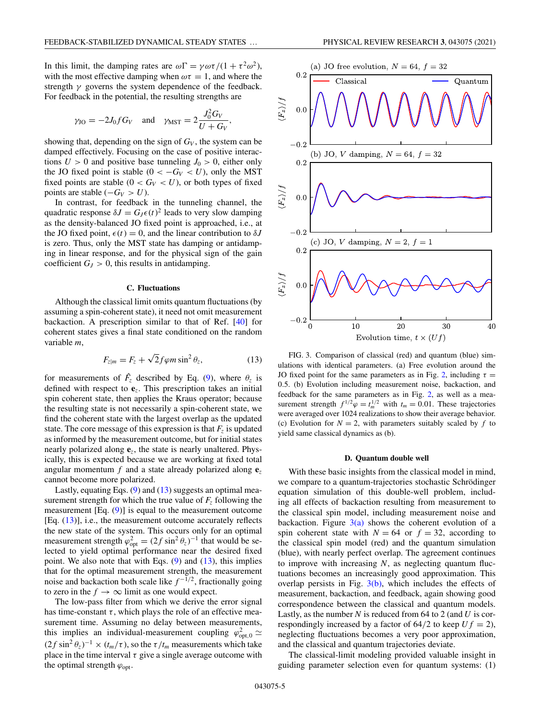In this limit, the damping rates are  $\omega \Gamma = \gamma \omega \tau / (1 + \tau^2 \omega^2)$ , with the most effective damping when  $\omega \tau = 1$ , and where the strength  $\gamma$  governs the system dependence of the feedback. For feedback in the potential, the resulting strengths are

$$
\gamma_{\text{JO}} = -2J_0 f G_V
$$
 and  $\gamma_{\text{MST}} = 2 \frac{J_0^2 G_V}{U + G_V}$ ,

showing that, depending on the sign of  $G_V$ , the system can be damped effectively. Focusing on the case of positive interactions  $U > 0$  and positive base tunneling  $J_0 > 0$ , either only the JO fixed point is stable  $(0 < -G_V < U)$ , only the MST fixed points are stable  $(0 < G_V < U)$ , or both types of fixed points are stable  $(-G_V > U)$ .

In contrast, for feedback in the tunneling channel, the quadratic response  $\delta J = G_J \epsilon(t)^2$  leads to very slow damping as the density-balanced JO fixed point is approached, i.e., at the JO fixed point,  $\epsilon(t) = 0$ , and the linear contribution to  $\delta J$ is zero. Thus, only the MST state has damping or antidamping in linear response, and for the physical sign of the gain coefficient  $G_J > 0$ , this results in antidamping.

#### **C. Fluctuations**

Although the classical limit omits quantum fluctuations (by assuming a spin-coherent state), it need not omit measurement backaction. A prescription similar to that of Ref. [\[40\]](#page-10-0) for coherent states gives a final state conditioned on the random variable *m*,

$$
F_{z|m} = F_z + \sqrt{2}f\varphi m\sin^2\theta_z, \qquad (13)
$$

for measurements of  $\hat{F}_z$  described by Eq. [\(9\)](#page-2-0), where  $\theta_z$  is defined with respect to **e***z*. This prescription takes an initial spin coherent state, then applies the Kraus operator; because the resulting state is not necessarily a spin-coherent state, we find the coherent state with the largest overlap as the updated state. The core message of this expression is that  $F<sub>z</sub>$  is updated as informed by the measurement outcome, but for initial states nearly polarized along **e***z*, the state is nearly unaltered. Physically, this is expected because we are working at fixed total angular momentum *f* and a state already polarized along **e***<sup>z</sup>* cannot become more polarized.

Lastly, equating Eqs.  $(9)$  and  $(13)$  suggests an optimal measurement strength for which the true value of  $F<sub>z</sub>$  following the measurement [Eq. [\(9\)](#page-2-0)] is equal to the measurement outcome [Eq. (13)], i.e., the measurement outcome accurately reflects the new state of the system. This occurs only for an optimal measurement strength  $\varphi_{opt}^2 = (2f \sin^2 \theta_z)^{-1}$  that would be selected to yield optimal performance near the desired fixed point. We also note that with Eqs.  $(9)$  and  $(13)$ , this implies that for the optimal measurement strength, the measurement noise and backaction both scale like  $f^{-1/2}$ , fractionally going to zero in the  $f \to \infty$  limit as one would expect.

The low-pass filter from which we derive the error signal has time-constant  $\tau$ , which plays the role of an effective measurement time. Assuming no delay between measurements, this implies an individual-measurement coupling  $\varphi_{\text{opt,0}}^2 \simeq$  $(2f \sin^2 \theta_z)^{-1} \times (t_m/\tau)$ , so the  $\tau/t_m$  measurements which take place in the time interval  $\tau$  give a single average outcome with the optimal strength  $\varphi_{opt}$ .





FIG. 3. Comparison of classical (red) and quantum (blue) simulations with identical parameters. (a) Free evolution around the JO fixed point for the same parameters as in Fig. [2,](#page-3-0) including  $\tau =$ 0.5. (b) Evolution including measurement noise, backaction, and feedback for the same parameters as in Fig. [2,](#page-3-0) as well as a measurement strength  $f^{1/2}\varphi = t_m^{1/2}$  with  $t_m = 0.01$ . These trajectories were averaged over 1024 realizations to show their average behavior. (c) Evolution for  $N = 2$ , with parameters suitably scaled by  $f$  to yield same classical dynamics as (b).

#### **D. Quantum double well**

With these basic insights from the classical model in mind, we compare to a quantum-trajectories stochastic Schrödinger equation simulation of this double-well problem, including all effects of backaction resulting from measurement to the classical spin model, including measurement noise and backaction. Figure  $3(a)$  shows the coherent evolution of a spin coherent state with  $N = 64$  or  $f = 32$ , according to the classical spin model (red) and the quantum simulation (blue), with nearly perfect overlap. The agreement continues to improve with increasing *N*, as neglecting quantum fluctuations becomes an increasingly good approximation. This overlap persists in Fig. 3(b), which includes the effects of measurement, backaction, and feedback, again showing good correspondence between the classical and quantum models. Lastly, as the number *N* is reduced from 64 to 2 (and *U* is correspondingly increased by a factor of  $64/2$  to keep  $U f = 2$ ), neglecting fluctuations becomes a very poor approximation, and the classical and quantum trajectories deviate.

The classical-limit modeling provided valuable insight in guiding parameter selection even for quantum systems: (1)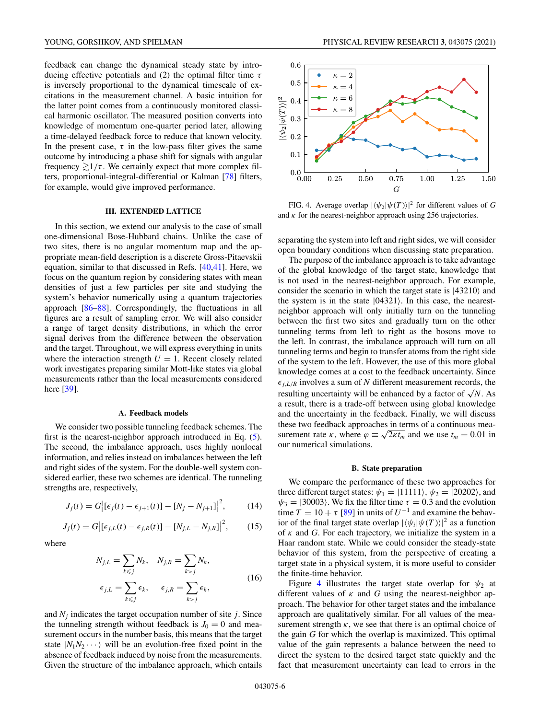<span id="page-5-0"></span>feedback can change the dynamical steady state by introducing effective potentials and (2) the optimal filter time  $\tau$ is inversely proportional to the dynamical timescale of excitations in the measurement channel. A basic intuition for the latter point comes from a continuously monitored classical harmonic oscillator. The measured position converts into knowledge of momentum one-quarter period later, allowing a time-delayed feedback force to reduce that known velocity. In the present case,  $\tau$  in the low-pass filter gives the same outcome by introducing a phase shift for signals with angular frequency  $\gtrsim 1/\tau$ . We certainly expect that more complex filters, proportional-integral-differential or Kalman [\[78\]](#page-11-0) filters, for example, would give improved performance.

# **III. EXTENDED LATTICE**

In this section, we extend our analysis to the case of small one-dimensional Bose-Hubbard chains. Unlike the case of two sites, there is no angular momentum map and the appropriate mean-field description is a discrete Gross-Pitaevskii equation, similar to that discussed in Refs. [\[40,41\]](#page-10-0). Here, we focus on the quantum region by considering states with mean densities of just a few particles per site and studying the system's behavior numerically using a quantum trajectories approach [\[86–88\]](#page-11-0). Correspondingly, the fluctuations in all figures are a result of sampling error. We will also consider a range of target density distributions, in which the error signal derives from the difference between the observation and the target. Throughout, we will express everything in units where the interaction strength  $U = 1$ . Recent closely related work investigates preparing similar Mott-like states via global measurements rather than the local measurements considered here [\[39\]](#page-10-0).

#### **A. Feedback models**

We consider two possible tunneling feedback schemes. The first is the nearest-neighbor approach introduced in Eq. [\(5\)](#page-2-0). The second, the imbalance approach, uses highly nonlocal information, and relies instead on imbalances between the left and right sides of the system. For the double-well system considered earlier, these two schemes are identical. The tunneling strengths are, respectively,

$$
J_j(t) = G |[\epsilon_j(t) - \epsilon_{j+1}(t)] - [N_j - N_{j+1}]^2,
$$
 (14)

$$
J_j(t) = G |[\epsilon_{j,L}(t) - \epsilon_{j,R}(t)] - [N_{j,L} - N_{j,R}]|^2, \qquad (15)
$$

where

$$
N_{j,L} = \sum_{k \le j} N_k, \quad N_{j,R} = \sum_{k > j} N_k,
$$
  

$$
\epsilon_{j,L} = \sum_{k \le j} \epsilon_k, \quad \epsilon_{j,R} = \sum_{k > j} \epsilon_k,
$$
 (16)

and  $N_i$  indicates the target occupation number of site  $j$ . Since the tunneling strength without feedback is  $J_0 = 0$  and measurement occurs in the number basis, this means that the target state  $|N_1N_2 \cdots \rangle$  will be an evolution-free fixed point in the absence of feedback induced by noise from the measurements. Given the structure of the imbalance approach, which entails



FIG. 4. Average overlap  $|\langle \psi_2 | \psi(T) \rangle|^2$  for different values of *G* and  $\kappa$  for the nearest-neighbor approach using 256 trajectories.

separating the system into left and right sides, we will consider open boundary conditions when discussing state preparation.

The purpose of the imbalance approach is to take advantage of the global knowledge of the target state, knowledge that is not used in the nearest-neighbor approach. For example, consider the scenario in which the target state is  $|43210\rangle$  and the system is in the state  $|04321\rangle$ . In this case, the nearestneighbor approach will only initially turn on the tunneling between the first two sites and gradually turn on the other tunneling terms from left to right as the bosons move to the left. In contrast, the imbalance approach will turn on all tunneling terms and begin to transfer atoms from the right side of the system to the left. However, the use of this more global knowledge comes at a cost to the feedback uncertainty. Since  $\epsilon_{i,L/R}$  involves a sum of *N* different measurement records, the resulting uncertainty will be enhanced by a factor of  $\sqrt{N}$ . As a result, there is a trade-off between using global knowledge and the uncertainty in the feedback. Finally, we will discuss these two feedback approaches in terms of a continuous measurement rate  $\kappa$ , where  $\varphi \equiv \sqrt{2\kappa t_m}$  and we use  $t_m = 0.01$  in our numerical simulations.

## **B. State preparation**

We compare the performance of these two approaches for three different target states:  $\psi_1 = |11111\rangle$ ,  $\psi_2 = |20202\rangle$ , and  $\psi_3 = |30003\rangle$ . We fix the filter time  $\tau = 0.3$  and the evolution time  $T = 10 + \tau$  [\[89\]](#page-11-0) in units of  $U^{-1}$  and examine the behavior of the final target state overlap  $|\langle \psi_i | \psi(T) \rangle|^2$  as a function of  $\kappa$  and *G*. For each trajectory, we initialize the system in a Haar random state. While we could consider the steady-state behavior of this system, from the perspective of creating a target state in a physical system, it is more useful to consider the finite-time behavior.

Figure 4 illustrates the target state overlap for  $\psi_2$  at different values of  $\kappa$  and  $G$  using the nearest-neighbor approach. The behavior for other target states and the imbalance approach are qualitatively similar. For all values of the measurement strength  $\kappa$ , we see that there is an optimal choice of the gain *G* for which the overlap is maximized. This optimal value of the gain represents a balance between the need to direct the system to the desired target state quickly and the fact that measurement uncertainty can lead to errors in the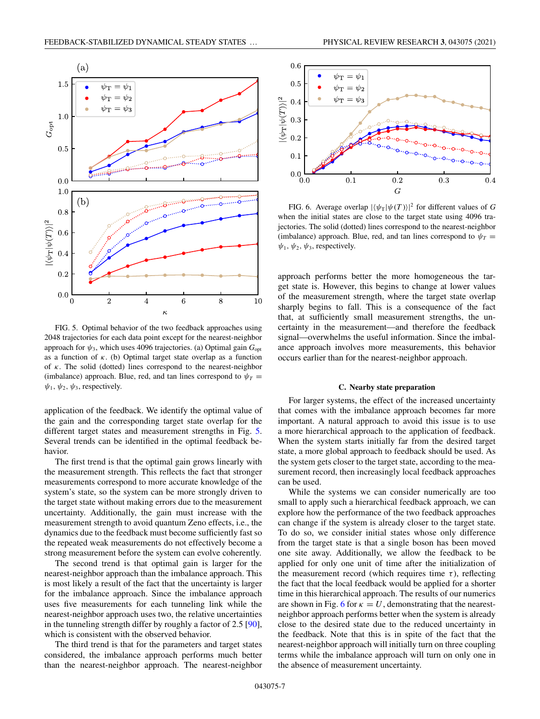

FIG. 5. Optimal behavior of the two feedback approaches using 2048 trajectories for each data point except for the nearest-neighbor approach for  $\psi_3$ , which uses 4096 trajectories. (a) Optimal gain  $G_{\text{opt}}$ as a function of  $\kappa$ . (b) Optimal target state overlap as a function of  $\kappa$ . The solid (dotted) lines correspond to the nearest-neighbor (imbalance) approach. Blue, red, and tan lines correspond to  $\psi_T$  $\psi_1, \psi_2, \psi_3$ , respectively.

application of the feedback. We identify the optimal value of the gain and the corresponding target state overlap for the different target states and measurement strengths in Fig. 5. Several trends can be identified in the optimal feedback behavior.

The first trend is that the optimal gain grows linearly with the measurement strength. This reflects the fact that stronger measurements correspond to more accurate knowledge of the system's state, so the system can be more strongly driven to the target state without making errors due to the measurement uncertainty. Additionally, the gain must increase with the measurement strength to avoid quantum Zeno effects, i.e., the dynamics due to the feedback must become sufficiently fast so the repeated weak measurements do not effectively become a strong measurement before the system can evolve coherently.

The second trend is that optimal gain is larger for the nearest-neighbor approach than the imbalance approach. This is most likely a result of the fact that the uncertainty is larger for the imbalance approach. Since the imbalance approach uses five measurements for each tunneling link while the nearest-neighbor approach uses two, the relative uncertainties in the tunneling strength differ by roughly a factor of 2.5 [\[90\]](#page-11-0), which is consistent with the observed behavior.

The third trend is that for the parameters and target states considered, the imbalance approach performs much better than the nearest-neighbor approach. The nearest-neighbor



FIG. 6. Average overlap  $|\langle \psi_{\text{T}} | \psi(T) \rangle|^2$  for different values of *G* when the initial states are close to the target state using 4096 trajectories. The solid (dotted) lines correspond to the nearest-neighbor (imbalance) approach. Blue, red, and tan lines correspond to  $\psi_T =$  $\psi_1, \psi_2, \psi_3$ , respectively.

approach performs better the more homogeneous the target state is. However, this begins to change at lower values of the measurement strength, where the target state overlap sharply begins to fall. This is a consequence of the fact that, at sufficiently small measurement strengths, the uncertainty in the measurement—and therefore the feedback signal—overwhelms the useful information. Since the imbalance approach involves more measurements, this behavior occurs earlier than for the nearest-neighbor approach.

#### **C. Nearby state preparation**

For larger systems, the effect of the increased uncertainty that comes with the imbalance approach becomes far more important. A natural approach to avoid this issue is to use a more hierarchical approach to the application of feedback. When the system starts initially far from the desired target state, a more global approach to feedback should be used. As the system gets closer to the target state, according to the measurement record, then increasingly local feedback approaches can be used.

While the systems we can consider numerically are too small to apply such a hierarchical feedback approach, we can explore how the performance of the two feedback approaches can change if the system is already closer to the target state. To do so, we consider initial states whose only difference from the target state is that a single boson has been moved one site away. Additionally, we allow the feedback to be applied for only one unit of time after the initialization of the measurement record (which requires time  $\tau$ ), reflecting the fact that the local feedback would be applied for a shorter time in this hierarchical approach. The results of our numerics are shown in Fig. 6 for  $\kappa = U$ , demonstrating that the nearestneighbor approach performs better when the system is already close to the desired state due to the reduced uncertainty in the feedback. Note that this is in spite of the fact that the nearest-neighbor approach will initially turn on three coupling terms while the imbalance approach will turn on only one in the absence of measurement uncertainty.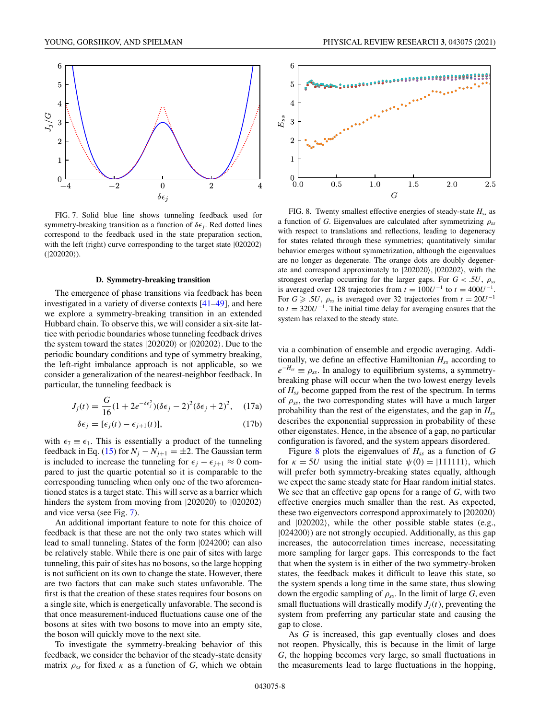<span id="page-7-0"></span>

FIG. 7. Solid blue line shows tunneling feedback used for symmetry-breaking transition as a function of  $\delta \epsilon_i$ . Red dotted lines correspond to the feedback used in the state preparation section, with the left (right) curve corresponding to the target state  $|020202\rangle$  $(|202020\rangle)$ .

## **D. Symmetry-breaking transition**

The emergence of phase transitions via feedback has been investigated in a variety of diverse contexts [\[41–49\]](#page-10-0), and here we explore a symmetry-breaking transition in an extended Hubbard chain. To observe this, we will consider a six-site lattice with periodic boundaries whose tunneling feedback drives the system toward the states  $|202020\rangle$  or  $|020202\rangle$ . Due to the periodic boundary conditions and type of symmetry breaking, the left-right imbalance approach is not applicable, so we consider a generalization of the nearest-neighbor feedback. In particular, the tunneling feedback is

$$
J_j(t) = \frac{G}{16}(1 + 2e^{-\delta \epsilon_j^2})(\delta \epsilon_j - 2)^2 (\delta \epsilon_j + 2)^2, \quad (17a)
$$

$$
\delta \epsilon_j = [\epsilon_j(t) - \epsilon_{j+1}(t)], \qquad (17b)
$$

with  $\epsilon_7 \equiv \epsilon_1$ . This is essentially a product of the tunneling feedback in Eq. [\(15\)](#page-5-0) for  $N_i - N_{i+1} = \pm 2$ . The Gaussian term is included to increase the tunneling for  $\epsilon_j - \epsilon_{j+1} \approx 0$  compared to just the quartic potential so it is comparable to the corresponding tunneling when only one of the two aforementioned states is a target state. This will serve as a barrier which hinders the system from moving from  $|202020\rangle$  to  $|020202\rangle$ and vice versa (see Fig. 7).

An additional important feature to note for this choice of feedback is that these are not the only two states which will lead to small tunneling. States of the form  $|024200\rangle$  can also be relatively stable. While there is one pair of sites with large tunneling, this pair of sites has no bosons, so the large hopping is not sufficient on its own to change the state. However, there are two factors that can make such states unfavorable. The first is that the creation of these states requires four bosons on a single site, which is energetically unfavorable. The second is that once measurement-induced fluctuations cause one of the bosons at sites with two bosons to move into an empty site, the boson will quickly move to the next site.

To investigate the symmetry-breaking behavior of this feedback, we consider the behavior of the steady-state density matrix  $\rho_{ss}$  for fixed  $\kappa$  as a function of *G*, which we obtain



FIG. 8. Twenty smallest effective energies of steady-state  $H_{ss}$  as a function of *G*. Eigenvalues are calculated after symmetrizing ρ*ss* with respect to translations and reflections, leading to degeneracy for states related through these symmetries; quantitatively similar behavior emerges without symmetrization, although the eigenvalues are no longer as degenerate. The orange dots are doubly degenerate and correspond approximately to |202020, |020202, with the strongest overlap occurring for the larger gaps. For  $G < .5U$ ,  $\rho_{ss}$ is averaged over 128 trajectories from  $t = 100U^{-1}$  to  $t = 400U^{-1}$ . For  $G \geq 0.5U$ ,  $\rho_{ss}$  is averaged over 32 trajectories from  $t = 20U^{-1}$ to  $t = 320U^{-1}$ . The initial time delay for averaging ensures that the system has relaxed to the steady state.

via a combination of ensemble and ergodic averaging. Additionally, we define an effective Hamiltonian  $H_{ss}$  according to  $e^{-H_{ss}} \equiv \rho_{ss}$ . In analogy to equilibrium systems, a symmetrybreaking phase will occur when the two lowest energy levels of *Hss* become gapped from the rest of the spectrum. In terms of ρ*ss*, the two corresponding states will have a much larger probability than the rest of the eigenstates, and the gap in *Hss* describes the exponential suppression in probability of these other eigenstates. Hence, in the absence of a gap, no particular configuration is favored, and the system appears disordered.

Figure 8 plots the eigenvalues of  $H_{ss}$  as a function of G for  $\kappa = 5U$  using the initial state  $\psi(0) = |111111\rangle$ , which will prefer both symmetry-breaking states equally, although we expect the same steady state for Haar random initial states. We see that an effective gap opens for a range of *G*, with two effective energies much smaller than the rest. As expected, these two eigenvectors correspond approximately to |202020 and |020202, while the other possible stable states (e.g., |024200) are not strongly occupied. Additionally, as this gap increases, the autocorrelation times increase, necessitating more sampling for larger gaps. This corresponds to the fact that when the system is in either of the two symmetry-broken states, the feedback makes it difficult to leave this state, so the system spends a long time in the same state, thus slowing down the ergodic sampling of  $\rho_{ss}$ . In the limit of large *G*, even small fluctuations will drastically modify  $J_i(t)$ , preventing the system from preferring any particular state and causing the gap to close.

As *G* is increased, this gap eventually closes and does not reopen. Physically, this is because in the limit of large *G*, the hopping becomes very large, so small fluctuations in the measurements lead to large fluctuations in the hopping,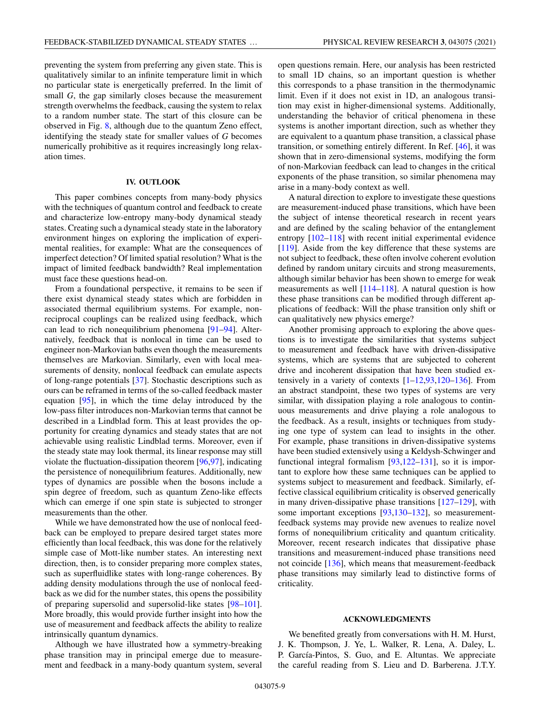preventing the system from preferring any given state. This is qualitatively similar to an infinite temperature limit in which no particular state is energetically preferred. In the limit of small *G*, the gap similarly closes because the measurement strength overwhelms the feedback, causing the system to relax to a random number state. The start of this closure can be observed in Fig. [8,](#page-7-0) although due to the quantum Zeno effect, identifying the steady state for smaller values of *G* becomes numerically prohibitive as it requires increasingly long relaxation times.

## **IV. OUTLOOK**

This paper combines concepts from many-body physics with the techniques of quantum control and feedback to create and characterize low-entropy many-body dynamical steady states. Creating such a dynamical steady state in the laboratory environment hinges on exploring the implication of experimental realities, for example: What are the consequences of imperfect detection? Of limited spatial resolution? What is the impact of limited feedback bandwidth? Real implementation must face these questions head-on.

From a foundational perspective, it remains to be seen if there exist dynamical steady states which are forbidden in associated thermal equilibrium systems. For example, nonreciprocal couplings can be realized using feedback, which can lead to rich nonequilibrium phenomena [\[91–94\]](#page-11-0). Alternatively, feedback that is nonlocal in time can be used to engineer non-Markovian baths even though the measurements themselves are Markovian. Similarly, even with local measurements of density, nonlocal feedback can emulate aspects of long-range potentials [\[37\]](#page-10-0). Stochastic descriptions such as ours can be reframed in terms of the so-called feedback master equation [\[95\]](#page-11-0), in which the time delay introduced by the low-pass filter introduces non-Markovian terms that cannot be described in a Lindblad form. This at least provides the opportunity for creating dynamics and steady states that are not achievable using realistic Lindblad terms. Moreover, even if the steady state may look thermal, its linear response may still violate the fluctuation-dissipation theorem [\[96,97\]](#page-11-0), indicating the persistence of nonequilibrium features. Additionally, new types of dynamics are possible when the bosons include a spin degree of freedom, such as quantum Zeno-like effects which can emerge if one spin state is subjected to stronger measurements than the other.

While we have demonstrated how the use of nonlocal feedback can be employed to prepare desired target states more efficiently than local feedback, this was done for the relatively simple case of Mott-like number states. An interesting next direction, then, is to consider preparing more complex states, such as superfluidlike states with long-range coherences. By adding density modulations through the use of nonlocal feedback as we did for the number states, this opens the possibility of preparing supersolid and supersolid-like states [\[98–101\]](#page-11-0). More broadly, this would provide further insight into how the use of measurement and feedback affects the ability to realize intrinsically quantum dynamics.

Although we have illustrated how a symmetry-breaking phase transition may in principal emerge due to measurement and feedback in a many-body quantum system, several open questions remain. Here, our analysis has been restricted to small 1D chains, so an important question is whether this corresponds to a phase transition in the thermodynamic limit. Even if it does not exist in 1D, an analogous transition may exist in higher-dimensional systems. Additionally, understanding the behavior of critical phenomena in these systems is another important direction, such as whether they are equivalent to a quantum phase transition, a classical phase transition, or something entirely different. In Ref. [\[46\]](#page-10-0), it was shown that in zero-dimensional systems, modifying the form of non-Markovian feedback can lead to changes in the critical exponents of the phase transition, so similar phenomena may arise in a many-body context as well.

A natural direction to explore to investigate these questions are measurement-induced phase transitions, which have been the subject of intense theoretical research in recent years and are defined by the scaling behavior of the entanglement entropy  $[102-118]$  $[102-118]$  with recent initial experimental evidence [\[119\]](#page-12-0). Aside from the key difference that these systems are not subject to feedback, these often involve coherent evolution defined by random unitary circuits and strong measurements, although similar behavior has been shown to emerge for weak measurements as well [\[114–118\]](#page-12-0). A natural question is how these phase transitions can be modified through different applications of feedback: Will the phase transition only shift or can qualitatively new physics emerge?

Another promising approach to exploring the above questions is to investigate the similarities that systems subject to measurement and feedback have with driven-dissipative systems, which are systems that are subjected to coherent drive and incoherent dissipation that have been studied extensively in a variety of contexts  $[1-12, 93, 120-136]$ . From an abstract standpoint, these two types of systems are very similar, with dissipation playing a role analogous to continuous measurements and drive playing a role analogous to the feedback. As a result, insights or techniques from studying one type of system can lead to insights in the other. For example, phase transitions in driven-dissipative systems have been studied extensively using a Keldysh-Schwinger and functional integral formalism [\[93](#page-11-0)[,122–131\]](#page-12-0), so it is important to explore how these same techniques can be applied to systems subject to measurement and feedback. Similarly, effective classical equilibrium criticality is observed generically in many driven-dissipative phase transitions [\[127–129\]](#page-12-0), with some important exceptions [\[93,](#page-11-0)[130–132\]](#page-12-0), so measurementfeedback systems may provide new avenues to realize novel forms of nonequilibrium criticality and quantum criticality. Moreover, recent research indicates that dissipative phase transitions and measurement-induced phase transitions need not coincide [\[136\]](#page-12-0), which means that measurement-feedback phase transitions may similarly lead to distinctive forms of criticality.

#### **ACKNOWLEDGMENTS**

We benefited greatly from conversations with H. M. Hurst, J. K. Thompson, J. Ye, L. Walker, R. Lena, A. Daley, L. P. García-Pintos, S. Guo, and E. Altuntas. We appreciate the careful reading from S. Lieu and D. Barberena. J.T.Y.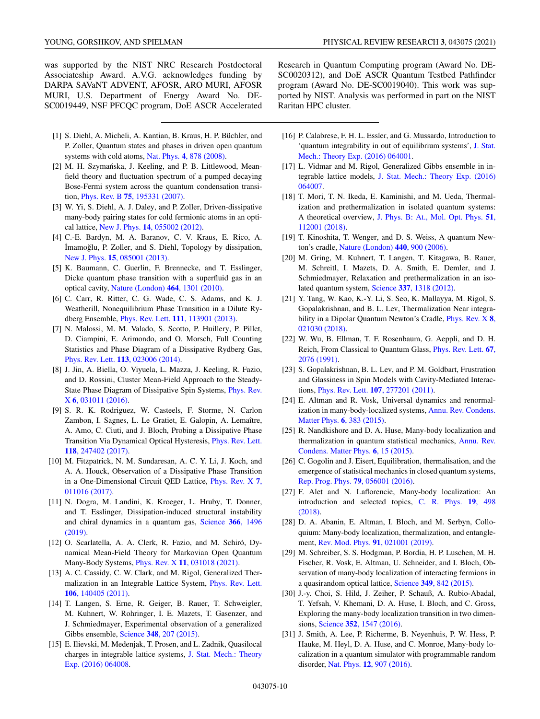- <span id="page-9-0"></span>[1] S. Diehl, A. Micheli, A. Kantian, B. Kraus, H. P. Büchler, and P. Zoller, Quantum states and phases in driven open quantum systems with cold atoms, Nat. Phys. **4**[, 878 \(2008\).](https://doi.org/10.1038/nphys1073)
- [2] M. H. Szymańska, J. Keeling, and P. B. Littlewood, Meanfield theory and fluctuation spectrum of a pumped decaying Bose-Fermi system across the quantum condensation transition, Phys. Rev. B **75**[, 195331 \(2007\).](https://doi.org/10.1103/PhysRevB.75.195331)
- [3] W. Yi, S. Diehl, A. J. Daley, and P. Zoller, Driven-dissipative many-body pairing states for cold fermionic atoms in an optical lattice, New J. Phys. **14**[, 055002 \(2012\).](https://doi.org/10.1088/1367-2630/14/5/055002)
- [4] C.-E. Bardyn, M. A. Baranov, C. V. Kraus, E. Rico, A. Imamoğlu, P. Zoller, and S. Diehl, Topology by dissipation, New J. Phys. **15**[, 085001 \(2013\).](https://doi.org/10.1088/1367-2630/15/8/085001)
- [5] K. Baumann, C. Guerlin, F. Brennecke, and T. Esslinger, Dicke quantum phase transition with a superfluid gas in an optical cavity, [Nature \(London\)](https://doi.org/10.1038/nature09009) **464**, 1301 (2010).
- [6] C. Carr, R. Ritter, C. G. Wade, C. S. Adams, and K. J. Weatherill, Nonequilibrium Phase Transition in a Dilute Rydberg Ensemble, Phys. Rev. Lett. **111**[, 113901 \(2013\).](https://doi.org/10.1103/PhysRevLett.111.113901)
- [7] N. Malossi, M. M. Valado, S. Scotto, P. Huillery, P. Pillet, D. Ciampini, E. Arimondo, and O. Morsch, Full Counting Statistics and Phase Diagram of a Dissipative Rydberg Gas, Phys. Rev. Lett. **113**[, 023006 \(2014\).](https://doi.org/10.1103/PhysRevLett.113.023006)
- [8] J. Jin, A. Biella, O. Viyuela, L. Mazza, J. Keeling, R. Fazio, and D. Rossini, Cluster Mean-Field Approach to the Steady-[State Phase Diagram of Dissipative Spin Systems,](https://doi.org/10.1103/PhysRevX.6.031011) Phys. Rev. X **6**, 031011 (2016).
- [9] S. R. K. Rodriguez, W. Casteels, F. Storme, N. Carlon Zambon, I. Sagnes, L. Le Gratiet, E. Galopin, A. Lemaître, A. Amo, C. Ciuti, and J. Bloch, Probing a Dissipative Phase [Transition Via Dynamical Optical Hysteresis,](https://doi.org/10.1103/PhysRevLett.118.247402) Phys. Rev. Lett. **118**, 247402 (2017).
- [10] M. Fitzpatrick, N. M. Sundaresan, A. C. Y. Li, J. Koch, and A. A. Houck, Observation of a Dissipative Phase Transition [in a One-Dimensional Circuit QED Lattice,](https://doi.org/10.1103/PhysRevX.7.011016) Phys. Rev. X **7**, 011016 (2017).
- [11] N. Dogra, M. Landini, K. Kroeger, L. Hruby, T. Donner, and T. Esslinger, Dissipation-induced structural instability [and chiral dynamics in a quantum gas,](https://doi.org/10.1126/science.aaw4465) Science **366**, 1496 (2019).
- [12] O. Scarlatella, A. A. Clerk, R. Fazio, and M. Schiró, Dynamical Mean-Field Theory for Markovian Open Quantum Many-Body Systems, Phys. Rev. X **11**[, 031018 \(2021\).](https://doi.org/10.1103/PhysRevX.11.031018)
- [13] A. C. Cassidy, C. W. Clark, and M. Rigol, Generalized Ther[malization in an Integrable Lattice System,](https://doi.org/10.1103/PhysRevLett.106.140405) Phys. Rev. Lett. **106**, 140405 (2011).
- [14] T. Langen, S. Erne, R. Geiger, B. Rauer, T. Schweigler, M. Kuhnert, W. Rohringer, I. E. Mazets, T. Gasenzer, and J. Schmiedmayer, Experimental observation of a generalized Gibbs ensemble, Science **348**[, 207 \(2015\).](https://doi.org/10.1126/science.1257026)
- [15] E. Ilievski, M. Medenjak, T. Prosen, and L. Zadnik, Quasilocal [charges in integrable lattice systems,](https://doi.org/10.1088/1742-5468/2016/06/064008) J. Stat. Mech.: Theory Exp. (2016) 064008.

Research in Quantum Computing program (Award No. DE-SC0020312), and DoE ASCR Quantum Testbed Pathfinder program (Award No. DE-SC0019040). This work was supported by NIST. Analysis was performed in part on the NIST Raritan HPC cluster.

- [16] P. Calabrese, F. H. L. Essler, and G. Mussardo, Introduction to ['quantum integrability in out of equilibrium systems',](https://doi.org/10.1088/1742-5468/2016/06/064001) J. Stat. Mech.: Theory Exp. (2016) 064001.
- [17] L. Vidmar and M. Rigol, Generalized Gibbs ensemble in integrable lattice models, [J. Stat. Mech.: Theory Exp. \(2016\)](https://doi.org/10.1088/1742-5468/2016/06/064007) 064007.
- [18] T. Mori, T. N. Ikeda, E. Kaminishi, and M. Ueda, Thermalization and prethermalization in isolated quantum systems: A theoretical overview, [J. Phys. B: At., Mol. Opt. Phys.](https://doi.org/10.1088/1361-6455/aabcdf) **51**, 112001 (2018).
- [19] T. Kinoshita, T. Wenger, and D. S. Weiss, A quantum Newton's cradle, [Nature \(London\)](https://doi.org/10.1038/nature04693) **440**, 900 (2006).
- [20] M. Gring, M. Kuhnert, T. Langen, T. Kitagawa, B. Rauer, M. Schreitl, I. Mazets, D. A. Smith, E. Demler, and J. Schmiedmayer, Relaxation and prethermalization in an isolated quantum system, Science **337**[, 1318 \(2012\).](https://doi.org/10.1126/science.1224953)
- [21] Y. Tang, W. Kao, K.-Y. Li, S. Seo, K. Mallayya, M. Rigol, S. Gopalakrishnan, and B. L. Lev, Thermalization Near integra[bility in a Dipolar Quantum Newton's Cradle,](https://doi.org/10.1103/PhysRevX.8.021030) Phys. Rev. X **8**, 021030 (2018).
- [22] W. Wu, B. Ellman, T. F. Rosenbaum, G. Aeppli, and D. H. [Reich, From Classical to Quantum Glass,](https://doi.org/10.1103/PhysRevLett.67.2076) Phys. Rev. Lett. **67**, 2076 (1991).
- [23] S. Gopalakrishnan, B. L. Lev, and P. M. Goldbart, Frustration and Glassiness in Spin Models with Cavity-Mediated Interactions, Phys. Rev. Lett. **107**[, 277201 \(2011\).](https://doi.org/10.1103/PhysRevLett.107.277201)
- [24] E. Altman and R. Vosk, Universal dynamics and renormal[ization in many-body-localized systems,](https://doi.org/10.1146/annurev-conmatphys-031214-014701) Annu. Rev. Condens. Matter Phys. **6**, 383 (2015).
- [25] R. Nandkishore and D. A. Huse, Many-body localization and [thermalization in quantum statistical mechanics,](https://doi.org/10.1146/annurev-conmatphys-031214-014726) Annu. Rev. Condens. Matter Phys. **6**, 15 (2015).
- [26] C. Gogolin and J. Eisert, Equilibration, thermalisation, and the emergence of statistical mechanics in closed quantum systems, [Rep. Prog. Phys.](https://doi.org/10.1088/0034-4885/79/5/056001) **79**, 056001 (2016).
- [27] F. Alet and N. Laflorencie, Many-body localization: An [introduction and selected topics,](https://doi.org/10.1016/j.crhy.2018.03.003) C. R. Phys. **19**, 498 (2018).
- [28] D. A. Abanin, E. Altman, I. Bloch, and M. Serbyn, Colloquium: Many-body localization, thermalization, and entanglement, [Rev. Mod. Phys.](https://doi.org/10.1103/RevModPhys.91.021001) **91**, 021001 (2019).
- [29] M. Schreiber, S. S. Hodgman, P. Bordia, H. P. Luschen, M. H. Fischer, R. Vosk, E. Altman, U. Schneider, and I. Bloch, Observation of many-body localization of interacting fermions in a quasirandom optical lattice, Science **349**[, 842 \(2015\).](https://doi.org/10.1126/science.aaa7432)
- [30] J.-y. Choi, S. Hild, J. Zeiher, P. Schauß, A. Rubio-Abadal, T. Yefsah, V. Khemani, D. A. Huse, I. Bloch, and C. Gross, Exploring the many-body localization transition in two dimensions, Science **352**[, 1547 \(2016\).](https://doi.org/10.1126/science.aaf8834)
- [31] J. Smith, A. Lee, P. Richerme, B. Neyenhuis, P. W. Hess, P. Hauke, M. Heyl, D. A. Huse, and C. Monroe, Many-body localization in a quantum simulator with programmable random disorder, Nat. Phys. **12**[, 907 \(2016\).](https://doi.org/10.1038/nphys3783)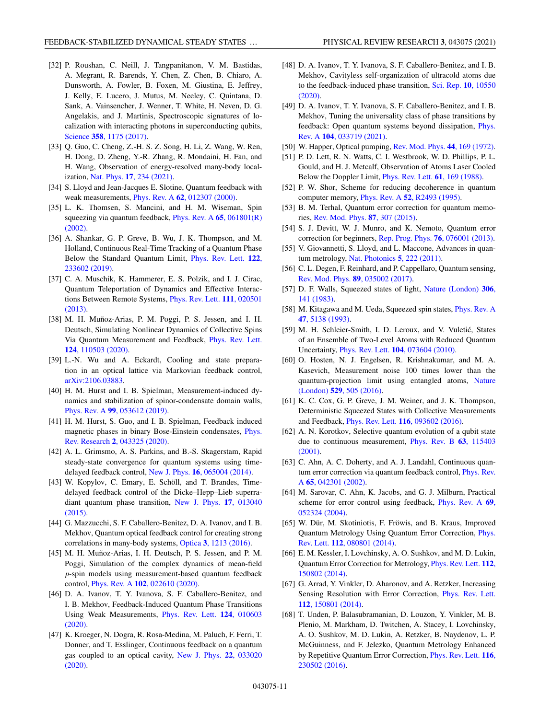- <span id="page-10-0"></span>[32] P. Roushan, C. Neill, J. Tangpanitanon, V. M. Bastidas, A. Megrant, R. Barends, Y. Chen, Z. Chen, B. Chiaro, A. Dunsworth, A. Fowler, B. Foxen, M. Giustina, E. Jeffrey, J. Kelly, E. Lucero, J. Mutus, M. Neeley, C. Quintana, D. Sank, A. Vainsencher, J. Wenner, T. White, H. Neven, D. G. Angelakis, and J. Martinis, Spectroscopic signatures of localization with interacting photons in superconducting qubits, Science **358**[, 1175 \(2017\).](https://doi.org/10.1126/science.aao1401)
- [33] Q. Guo, C. Cheng, Z.-H. S. Z. Song, H. Li, Z. Wang, W. Ren, H. Dong, D. Zheng, Y.-R. Zhang, R. Mondaini, H. Fan, and H. Wang, Observation of energy-resolved many-body localization, Nat. Phys. **17**[, 234 \(2021\).](https://doi.org/10.1038/s41567-020-1035-1)
- [34] S. Lloyd and Jean-Jacques E. Slotine, Quantum feedback with weak measurements, Phys. Rev. A **62**[, 012307 \(2000\).](https://doi.org/10.1103/PhysRevA.62.012307)
- [35] L. K. Thomsen, S. Mancini, and H. M. Wiseman, Spin [squeezing via quantum feedback,](https://doi.org/10.1103/PhysRevA.65.061801) Phys. Rev. A **65**, 061801(R) (2002).
- [36] A. Shankar, G. P. Greve, B. Wu, J. K. Thompson, and M. Holland, Continuous Real-Time Tracking of a Quantum Phase [Below the Standard Quantum Limit,](https://doi.org/10.1103/PhysRevLett.122.233602) Phys. Rev. Lett. **122**, 233602 (2019).
- [37] C. A. Muschik, K. Hammerer, E. S. Polzik, and I. J. Cirac, Quantum Teleportation of Dynamics and Effective Interac[tions Between Remote Systems,](https://doi.org/10.1103/PhysRevLett.111.020501) Phys. Rev. Lett. **111**, 020501 (2013).
- [38] M. H. Muñoz-Arias, P. M. Poggi, P. S. Jessen, and I. H. Deutsch, Simulating Nonlinear Dynamics of Collective Spins [Via Quantum Measurement and Feedback,](https://doi.org/10.1103/PhysRevLett.124.110503) Phys. Rev. Lett. **124**, 110503 (2020).
- [39] L.-N. Wu and A. Eckardt, Cooling and state preparation in an optical lattice via Markovian feedback control, [arXiv:2106.03883.](http://arxiv.org/abs/arXiv:2106.03883)
- [40] H. M. Hurst and I. B. Spielman, Measurement-induced dynamics and stabilization of spinor-condensate domain walls, Phys. Rev. A **99**[, 053612 \(2019\).](https://doi.org/10.1103/PhysRevA.99.053612)
- [41] H. M. Hurst, S. Guo, and I. B. Spielman, Feedback induced [magnetic phases in binary Bose-Einstein condensates,](https://doi.org/10.1103/PhysRevResearch.2.043325) Phys. Rev. Research **2**, 043325 (2020).
- [42] A. L. Grimsmo, A. S. Parkins, and B.-S. Skagerstam, Rapid steady-state convergence for quantum systems using timedelayed feedback control, New J. Phys. **16**[, 065004 \(2014\).](https://doi.org/10.1088/1367-2630/16/6/065004)
- [43] W. Kopylov, C. Emary, E. Schöll, and T. Brandes, Timedelayed feedback control of the Dicke–Hepp–Lieb superra[diant quantum phase transition,](https://doi.org/10.1088/1367-2630/17/1/013040) New J. Phys. **17**, 013040 (2015).
- [44] G. Mazzucchi, S. F. Caballero-Benitez, D. A. Ivanov, and I. B. Mekhov, Quantum optical feedback control for creating strong correlations in many-body systems, Optica **3**[, 1213 \(2016\).](https://doi.org/10.1364/OPTICA.3.001213)
- [45] M. H. Muñoz-Arias, I. H. Deutsch, P. S. Jessen, and P. M. Poggi, Simulation of the complex dynamics of mean-field *p*-spin models using measurement-based quantum feedback control, Phys. Rev. A **102**[, 022610 \(2020\).](https://doi.org/10.1103/PhysRevA.102.022610)
- [46] D. A. Ivanov, T. Y. Ivanova, S. F. Caballero-Benitez, and I. B. Mekhov, Feedback-Induced Quantum Phase Transitions [Using Weak Measurements,](https://doi.org/10.1103/PhysRevLett.124.010603) Phys. Rev. Lett. **124**, 010603 (2020).
- [47] K. Kroeger, N. Dogra, R. Rosa-Medina, M. Paluch, F. Ferri, T. Donner, and T. Esslinger, Continuous feedback on a quantum [gas coupled to an optical cavity,](https://doi.org/10.1088/1367-2630/ab73cc) New J. Phys. **22**, 033020 (2020).
- [48] D. A. Ivanov, T. Y. Ivanova, S. F. Caballero-Benitez, and I. B. Mekhov, Cavityless self-organization of ultracold atoms due [to the feedback-induced phase transition,](https://doi.org/10.1038/s41598-020-67280-3) Sci. Rep. **10**, 10550 (2020).
- [49] D. A. Ivanov, T. Y. Ivanova, S. F. Caballero-Benitez, and I. B. Mekhov, Tuning the universality class of phase transitions by [feedback: Open quantum systems beyond dissipation,](https://doi.org/10.1103/PhysRevA.104.033719) Phys. Rev. A **104**, 033719 (2021).
- [50] W. Happer, Optical pumping, [Rev. Mod. Phys.](https://doi.org/10.1103/RevModPhys.44.169) **44**, 169 (1972).
- [51] P. D. Lett, R. N. Watts, C. I. Westbrook, W. D. Phillips, P. L. Gould, and H. J. Metcalf, Observation of Atoms Laser Cooled Below the Doppler Limit, [Phys. Rev. Lett.](https://doi.org/10.1103/PhysRevLett.61.169) **61**, 169 (1988).
- [52] P. W. Shor, Scheme for reducing decoherence in quantum computer memory, Phys. Rev. A **52**[, R2493 \(1995\).](https://doi.org/10.1103/PhysRevA.52.R2493)
- [53] B. M. Terhal, Quantum error correction for quantum memories, [Rev. Mod. Phys.](https://doi.org/10.1103/RevModPhys.87.307) **87**, 307 (2015).
- [54] S. J. Devitt, W. J. Munro, and K. Nemoto, Quantum error correction for beginners, [Rep. Prog. Phys.](https://doi.org/10.1088/0034-4885/76/7/076001) **76**, 076001 (2013).
- [55] V. Giovannetti, S. Lloyd, and L. Maccone, Advances in quantum metrology, [Nat. Photonics](https://doi.org/10.1038/nphoton.2011.35) **5**, 222 (2011).
- [56] C. L. Degen, F. Reinhard, and P. Cappellaro, Quantum sensing, [Rev. Mod. Phys.](https://doi.org/10.1103/RevModPhys.89.035002) **89**, 035002 (2017).
- [57] [D. F. Walls, Squeezed states of light,](https://doi.org/10.1038/306141a0) Nature (London) **306**, 141 (1983).
- [58] [M. Kitagawa and M. Ueda, Squeezed spin states,](https://doi.org/10.1103/PhysRevA.47.5138) Phys. Rev. A **47**, 5138 (1993).
- [59] M. H. Schleier-Smith, I. D. Leroux, and V. Vuletić, States of an Ensemble of Two-Level Atoms with Reduced Quantum Uncertainty, Phys. Rev. Lett. **104**[, 073604 \(2010\).](https://doi.org/10.1103/PhysRevLett.104.073604)
- [60] O. Hosten, N. J. Engelsen, R. Krishnakumar, and M. A. Kasevich, Measurement noise 100 times lower than the [quantum-projection limit using entangled atoms,](https://doi.org/10.1038/nature16176) Nature (London) **529**, 505 (2016).
- [61] K. C. Cox, G. P. Greve, J. M. Weiner, and J. K. Thompson, Deterministic Squeezed States with Collective Measurements and Feedback, Phys. Rev. Lett. **116**[, 093602 \(2016\).](https://doi.org/10.1103/PhysRevLett.116.093602)
- [62] A. N. Korotkov, Selective quantum evolution of a qubit state [due to continuous measurement,](https://doi.org/10.1103/PhysRevB.63.115403) Phys. Rev. B **63**, 115403 (2001).
- [63] C. Ahn, A. C. Doherty, and A. J. Landahl, Continuous quan[tum error correction via quantum feedback control,](https://doi.org/10.1103/PhysRevA.65.042301) Phys. Rev. A **65**, 042301 (2002).
- [64] M. Sarovar, C. Ahn, K. Jacobs, and G. J. Milburn, Practical [scheme for error control using feedback,](https://doi.org/10.1103/PhysRevA.69.052324) Phys. Rev. A **69**, 052324 (2004).
- [65] W. Dür, M. Skotiniotis, F. Fröwis, and B. Kraus, Improved [Quantum Metrology Using Quantum Error Correction,](https://doi.org/10.1103/PhysRevLett.112.080801) Phys. Rev. Lett. **112**, 080801 (2014).
- [66] E. M. Kessler, I. Lovchinsky, A. O. Sushkov, and M. D. Lukin, [Quantum Error Correction for Metrology,](https://doi.org/10.1103/PhysRevLett.112.150802) Phys. Rev. Lett. **112**, 150802 (2014).
- [67] G. Arrad, Y. Vinkler, D. Aharonov, and A. Retzker, Increasing [Sensing Resolution with Error Correction,](https://doi.org/10.1103/PhysRevLett.112.150801) Phys. Rev. Lett. **112**, 150801 (2014).
- [68] T. Unden, P. Balasubramanian, D. Louzon, Y. Vinkler, M. B. Plenio, M. Markham, D. Twitchen, A. Stacey, I. Lovchinsky, A. O. Sushkov, M. D. Lukin, A. Retzker, B. Naydenov, L. P. McGuinness, and F. Jelezko, Quantum Metrology Enhanced [by Repetitive Quantum Error Correction,](https://doi.org/10.1103/PhysRevLett.116.230502) Phys. Rev. Lett. **116**, 230502 (2016).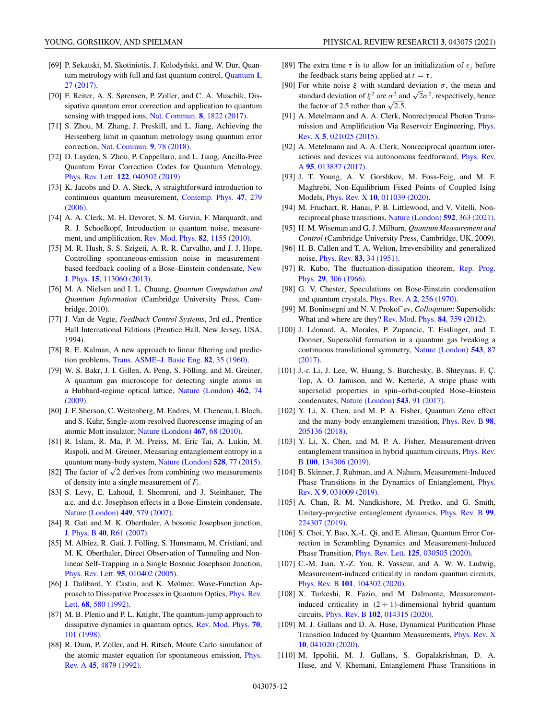- <span id="page-11-0"></span>[69] P. Sekatski, M. Skotiniotis, J. Kołodyński, and W. Dür, Quan[tum metrology with full and fast quantum control,](https://doi.org/10.22331/q-2017-09-06-27) Quantum **1**, 27 (2017).
- [70] F. Reiter, A. S. Sørensen, P. Zoller, and C. A. Muschik, Dissipative quantum error correction and application to quantum sensing with trapped ions, [Nat. Commun.](https://doi.org/10.1038/s41467-017-01895-5) **8**, 1822 (2017).
- [71] S. Zhou, M. Zhang, J. Preskill, and L. Jiang, Achieving the Heisenberg limit in quantum metrology using quantum error correction, [Nat. Commun.](https://doi.org/10.1038/s41467-017-02510-3) **9**, 78 (2018).
- [72] D. Layden, S. Zhou, P. Cappellaro, and L. Jiang, Ancilla-Free Quantum Error Correction Codes for Quantum Metrology, Phys. Rev. Lett. **122**[, 040502 \(2019\).](https://doi.org/10.1103/PhysRevLett.122.040502)
- [73] K. Jacobs and D. A. Steck, A straightforward introduction to [continuous quantum measurement,](https://doi.org/10.1080/00107510601101934) Contemp. Phys. **47**, 279 (2006).
- [74] A. A. Clerk, M. H. Devoret, S. M. Girvin, F. Marquardt, and R. J. Schoelkopf, Introduction to quantum noise, measurement, and amplification, [Rev. Mod. Phys.](https://doi.org/10.1103/RevModPhys.82.1155) **82**, 1155 (2010).
- [75] M. R. Hush, S. S. Szigeti, A. R. R. Carvalho, and J. J. Hope, Controlling spontaneous-emission noise in measurement[based feedback cooling of a Bose–Einstein condensate,](https://doi.org/10.1088/1367-2630/15/11/113060) New J. Phys. **15**, 113060 (2013).
- [76] M. A. Nielsen and I. L. Chuang, *Quantum Computation and Quantum Information* (Cambridge University Press, Cambridge, 2010).
- [77] J. Van de Vegte, *Feedback Control Systems*, 3rd ed., Prentice Hall International Editions (Prentice Hall, New Jersey, USA, 1994).
- [78] R. E. Kalman, A new approach to linear filtering and prediction problems, [Trans. ASME–J. Basic Eng.](https://doi.org/10.1115/1.3662552) **82**, 35 (1960).
- [79] W. S. Bakr, J. I. Gillen, A. Peng, S. Fölling, and M. Greiner, A quantum gas microscope for detecting single atoms in [a Hubbard-regime optical lattice,](https://doi.org/10.1038/nature08482) Nature (London) **462**, 74 (2009).
- [80] J. F. Sherson, C. Weitenberg, M. Endres, M. Cheneau, I. Bloch, and S. Kuhr, Single-atom-resolved fluorescense imaging of an atomic Mott insulator, [Nature \(London\)](https://doi.org/10.1038/nature09378) **467**, 68 (2010).
- [81] R. Islam, R. Ma, P. M. Preiss, M. Eric Tai, A. Lukin, M. Rispoli, and M. Greiner, Measuring entanglement entropy in a quantum many-body system, [Nature \(London\)](https://doi.org/10.1038/nature15750) **528**, 77 (2015).
- [82] The factor of  $\sqrt{2}$  derives from combining two measurements of density into a single measurement of *Fz*.
- [83] S. Levy, E. Lahoud, I. Shomroni, and J. Steinhauer, The a.c. and d.c. Josephson effects in a Bose-Einstein condensate, [Nature \(London\)](https://doi.org/10.1038/nature06186) **449**, 579 (2007).
- [84] R. Gati and M. K. Oberthaler, A bosonic Josephson junction, J. Phys. B **40**[, R61 \(2007\).](https://doi.org/10.1088/0953-4075/40/10/R01)
- [85] M. Albiez, R. Gati, J. Fölling, S. Hunsmann, M. Cristiani, and M. K. Oberthaler, Direct Observation of Tunneling and Nonlinear Self-Trapping in a Single Bosonic Josephson Junction, Phys. Rev. Lett. **95**[, 010402 \(2005\).](https://doi.org/10.1103/PhysRevLett.95.010402)
- [86] J. Dalibard, Y. Castin, and K. Mølmer, Wave-Function Ap[proach to Dissipative Processes in Quantum Optics,](https://doi.org/10.1103/PhysRevLett.68.580) Phys. Rev. Lett. **68**, 580 (1992).
- [87] M. B. Plenio and P. L. Knight, The quantum-jump approach to [dissipative dynamics in quantum optics,](https://doi.org/10.1103/RevModPhys.70.101) Rev. Mod. Phys. **70**, 101 (1998).
- [88] R. Dum, P. Zoller, and H. Ritsch, Monte Carlo simulation of [the atomic master equation for spontaneous emission,](https://doi.org/10.1103/PhysRevA.45.4879) Phys. Rev. A **45**, 4879 (1992).
- [89] The extra time  $\tau$  is to allow for an initialization of  $\epsilon_i$  before the feedback starts being applied at  $t = \tau$ .
- [90] For white noise  $\xi$  with standard deviation  $\sigma$ , the mean and standard deviation of  $\xi^2$  are  $\sigma^2$  and  $\sqrt{2}\sigma^2$ , respectively, hence the factor of 2.5 rather than  $\sqrt{2.5}$ .
- [91] A. Metelmann and A. A. Clerk, Nonreciprocal Photon Trans[mission and Amplification Via Reservoir Engineering,](https://doi.org/10.1103/PhysRevX.5.021025) Phys. Rev. X **5**, 021025 (2015).
- [92] A. Metelmann and A. A. Clerk, Nonreciprocal quantum inter[actions and devices via autonomous feedforward,](https://doi.org/10.1103/PhysRevA.95.013837) Phys. Rev. A **95**, 013837 (2017).
- [93] J. T. Young, A. V. Gorshkov, M. Foss-Feig, and M. F. Maghrebi, Non-Equilibrium Fixed Points of Coupled Ising Models, Phys. Rev. X **10**[, 011039 \(2020\).](https://doi.org/10.1103/PhysRevX.10.011039)
- [94] M. Fruchart, R. Hanai, P. B. Littlewood, and V. Vitelli, Nonreciprocal phase transitions, [Nature \(London\)](https://doi.org/10.1038/s41586-021-03375-9) **592**, 363 (2021).
- [95] H. M. Wiseman and G. J. Milburn, *Quantum Measurement and Control* (Cambridge University Press, Cambridge, UK, 2009).
- [96] H. B. Callen and T. A. Welton, Irreversibility and generalized noise, Phys. Rev. **83**[, 34 \(1951\).](https://doi.org/10.1103/PhysRev.83.34)
- [97] [R. Kubo, The fluctuation-dissipation theorem,](https://doi.org/10.1088/0034-4885/29/1/306) Rep. Prog. Phys. **29**, 306 (1966).
- [98] G. V. Chester, Speculations on Bose-Einstein condensation and quantum crystals, [Phys. Rev. A](https://doi.org/10.1103/PhysRevA.2.256) **2**, 256 (1970).
- [99] M. Boninsegni and N. V. Prokof'ev, *Colloquium*: Supersolids: What and where are they? [Rev. Mod. Phys.](https://doi.org/10.1103/RevModPhys.84.759) **84**, 759 (2012).
- [100] J. Léonard, A. Morales, P. Zupancic, T. Esslinger, and T. Donner, Supersolid formation in a quantum gas breaking a [continuous translational symmetry,](https://doi.org/10.1038/nature21067) Nature (London) **543**, 87 (2017).
- [101] J.-r. Li, J. Lee, W. Huang, S. Burchesky, B. Shteynas, F. Ç. Top, A. O. Jamison, and W. Ketterle, A stripe phase with supersolid properties in spin–orbit-coupled Bose–Einstein condensates, [Nature \(London\)](https://doi.org/10.1038/nature21431) **543**, 91 (2017).
- [102] Y. Li, X. Chen, and M. P. A. Fisher, Quantum Zeno effect [and the many-body entanglement transition,](https://doi.org/10.1103/PhysRevB.98.205136) Phys. Rev. B **98**, 205136 (2018).
- [103] Y. Li, X. Chen, and M. P. A. Fisher, Measurement-driven [entanglement transition in hybrid quantum circuits,](https://doi.org/10.1103/PhysRevB.100.134306) Phys. Rev. B **100**, 134306 (2019).
- [104] B. Skinner, J. Ruhman, and A. Nahum, Measurement-Induced [Phase Transitions in the Dynamics of Entanglement,](https://doi.org/10.1103/PhysRevX.9.031009) Phys. Rev. X **9**, 031009 (2019).
- [105] A. Chan, R. M. Nandkishore, M. Pretko, and G. Smith, [Unitary-projective entanglement dynamics,](https://doi.org/10.1103/PhysRevB.99.224307) Phys. Rev. B **99**, 224307 (2019).
- [106] S. Choi, Y. Bao, X.-L. Qi, and E. Altman, Quantum Error Correction in Scrambling Dynamics and Measurement-Induced Phase Transition, Phys. Rev. Lett. **125**[, 030505 \(2020\).](https://doi.org/10.1103/PhysRevLett.125.030505)
- [107] C.-M. Jian, Y.-Z. You, R. Vasseur, and A. W. W. Ludwig, Measurement-induced criticality in random quantum circuits, Phys. Rev. B **101**[, 104302 \(2020\).](https://doi.org/10.1103/PhysRevB.101.104302)
- [108] X. Turkeshi, R. Fazio, and M. Dalmonte, Measurementinduced criticality in  $(2 + 1)$ -dimensional hybrid quantum circuits, Phys. Rev. B **102**[, 014315 \(2020\).](https://doi.org/10.1103/PhysRevB.102.014315)
- [109] M. J. Gullans and D. A. Huse, Dynamical Purification Phase [Transition Induced by Quantum Measurements,](https://doi.org/10.1103/PhysRevX.10.041020) Phys. Rev. X **10**, 041020 (2020).
- [110] M. Ippoliti, M. J. Gullans, S. Gopalakrishnan, D. A. Huse, and V. Khemani, Entanglement Phase Transitions in